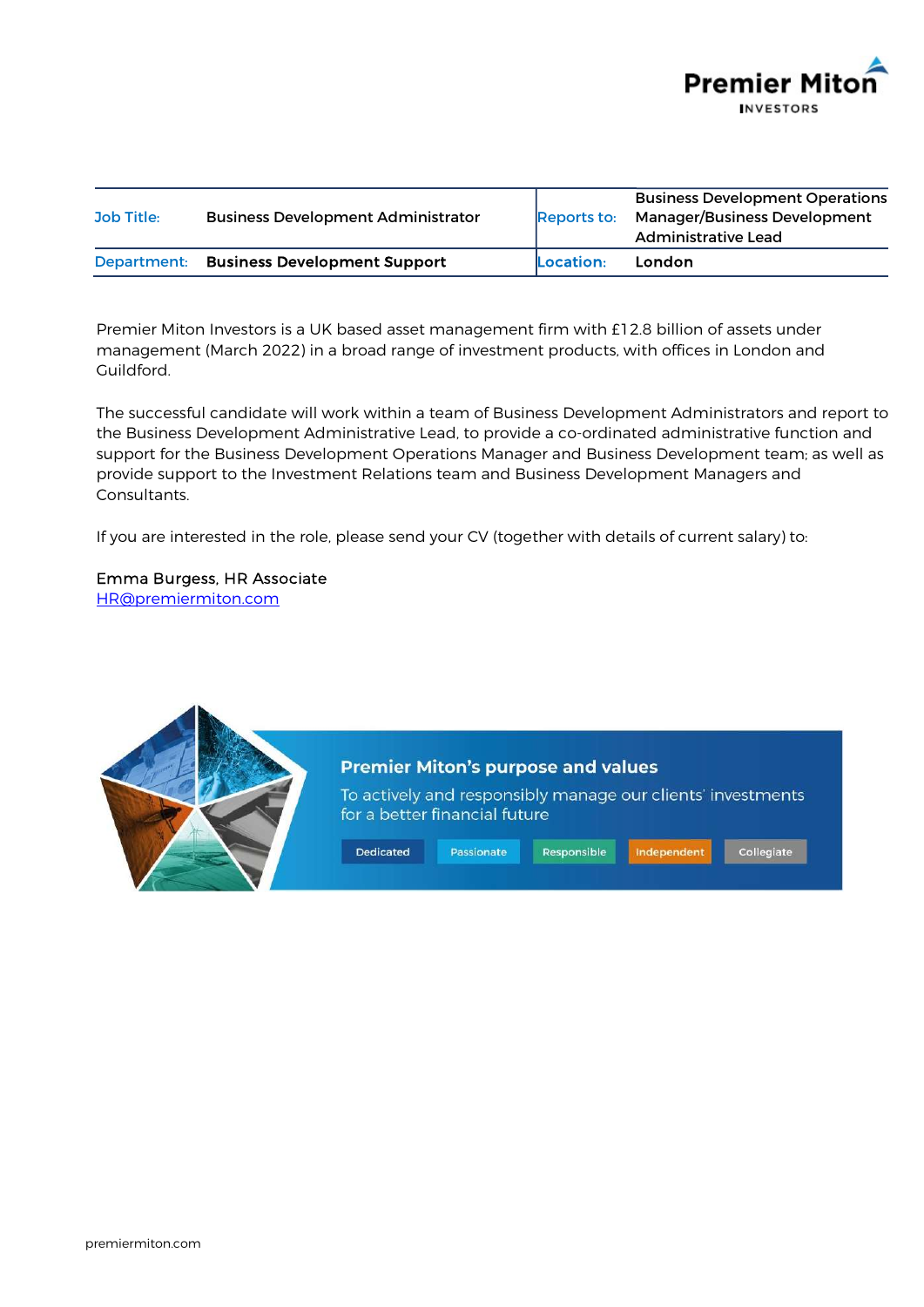

| Job Title:  | <b>Business Development Administrator</b> | Reports to: | <b>Business Development Operations</b><br><b>Manager/Business Development</b><br>Administrative Lead |
|-------------|-------------------------------------------|-------------|------------------------------------------------------------------------------------------------------|
| Department: | <b>Business Development Support</b>       | Location:   | <b>London</b>                                                                                        |

Premier Miton Investors is a UK based asset management firm with £12.8 billion of assets under management (March 2022) in a broad range of investment products, with offices in London and Guildford.

The successful candidate will work within a team of Business Development Administrators and report to the Business Development Administrative Lead, to provide a co-ordinated administrative function and support for the Business Development Operations Manager and Business Development team; as well as provide support to the Investment Relations team and Business Development Managers and Consultants.

If you are interested in the role, please send your CV (together with details of current salary) to:

Emma Burgess, HR Associate HR@premiermiton.com

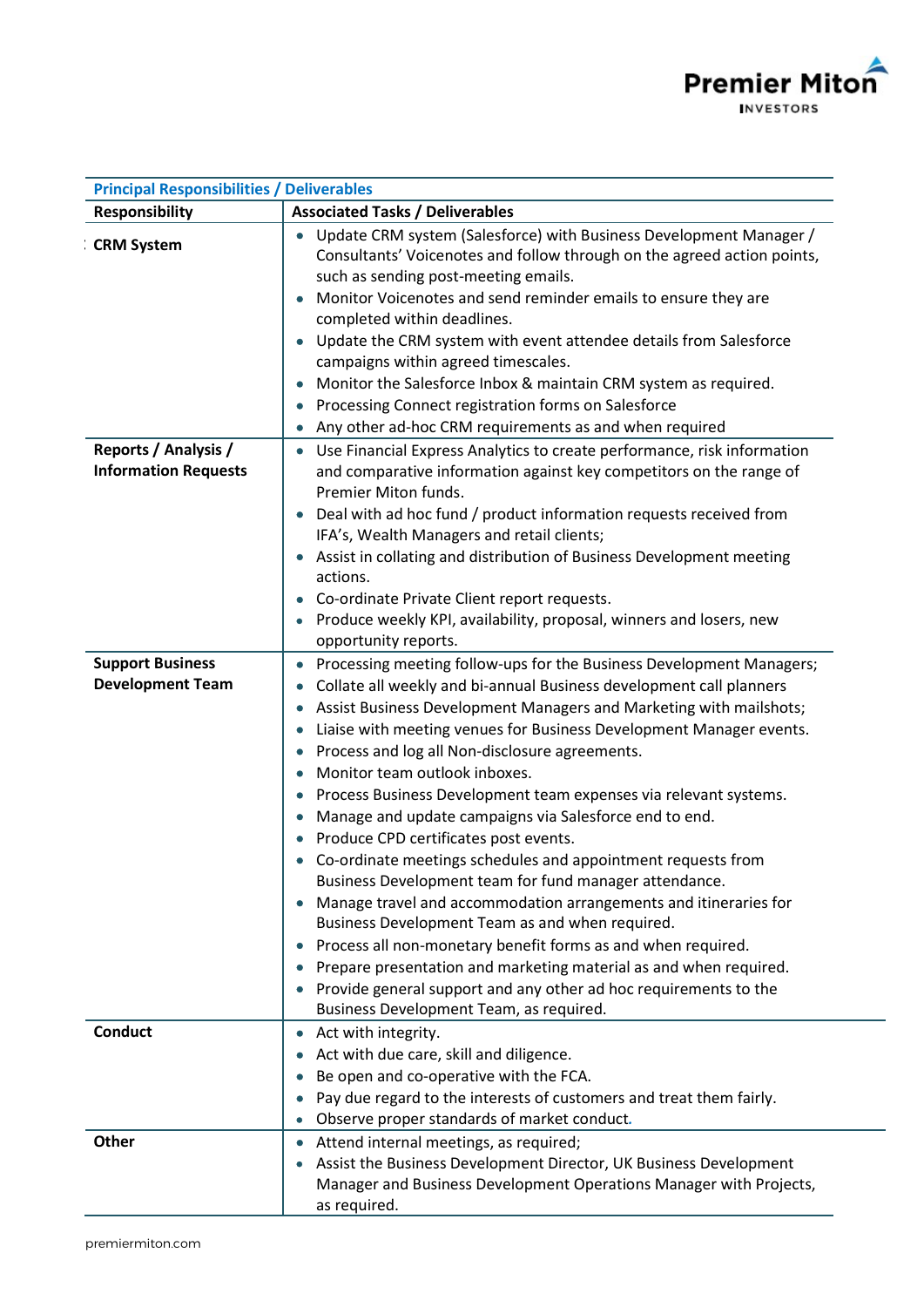

| <b>Principal Responsibilities / Deliverables</b>    |                                                                                                                                                                                                                                                                                                                                                                                                                                                                                                                                                                                                                                                                                                                                                                                                                                                                                                                                                                                                                                                                                        |
|-----------------------------------------------------|----------------------------------------------------------------------------------------------------------------------------------------------------------------------------------------------------------------------------------------------------------------------------------------------------------------------------------------------------------------------------------------------------------------------------------------------------------------------------------------------------------------------------------------------------------------------------------------------------------------------------------------------------------------------------------------------------------------------------------------------------------------------------------------------------------------------------------------------------------------------------------------------------------------------------------------------------------------------------------------------------------------------------------------------------------------------------------------|
| <b>Responsibility</b>                               | <b>Associated Tasks / Deliverables</b>                                                                                                                                                                                                                                                                                                                                                                                                                                                                                                                                                                                                                                                                                                                                                                                                                                                                                                                                                                                                                                                 |
| <b>CRM System</b>                                   | Update CRM system (Salesforce) with Business Development Manager /<br>Consultants' Voicenotes and follow through on the agreed action points,<br>such as sending post-meeting emails.<br>Monitor Voicenotes and send reminder emails to ensure they are<br>completed within deadlines.<br>Update the CRM system with event attendee details from Salesforce<br>campaigns within agreed timescales.<br>Monitor the Salesforce Inbox & maintain CRM system as required.<br>$\bullet$<br>Processing Connect registration forms on Salesforce<br>Any other ad-hoc CRM requirements as and when required                                                                                                                                                                                                                                                                                                                                                                                                                                                                                    |
| Reports / Analysis /<br><b>Information Requests</b> | Use Financial Express Analytics to create performance, risk information<br>and comparative information against key competitors on the range of<br>Premier Miton funds.<br>Deal with ad hoc fund / product information requests received from<br>$\bullet$<br>IFA's, Wealth Managers and retail clients;<br>Assist in collating and distribution of Business Development meeting<br>٠<br>actions.<br>Co-ordinate Private Client report requests.<br>Produce weekly KPI, availability, proposal, winners and losers, new<br>opportunity reports.                                                                                                                                                                                                                                                                                                                                                                                                                                                                                                                                         |
| <b>Support Business</b><br><b>Development Team</b>  | Processing meeting follow-ups for the Business Development Managers;<br>Collate all weekly and bi-annual Business development call planners<br>Assist Business Development Managers and Marketing with mailshots;<br>Liaise with meeting venues for Business Development Manager events.<br>$\bullet$<br>Process and log all Non-disclosure agreements.<br>Monitor team outlook inboxes.<br>Process Business Development team expenses via relevant systems.<br>$\bullet$<br>Manage and update campaigns via Salesforce end to end.<br>Produce CPD certificates post events.<br>Co-ordinate meetings schedules and appointment requests from<br>Business Development team for fund manager attendance.<br>Manage travel and accommodation arrangements and itineraries for<br>۰<br>Business Development Team as and when required.<br>Process all non-monetary benefit forms as and when required.<br>Prepare presentation and marketing material as and when required.<br>Provide general support and any other ad hoc requirements to the<br>Business Development Team, as required. |
| <b>Conduct</b>                                      | Act with integrity.<br>$\bullet$<br>Act with due care, skill and diligence.<br>Be open and co-operative with the FCA.<br>Pay due regard to the interests of customers and treat them fairly.<br>Observe proper standards of market conduct.<br>۰                                                                                                                                                                                                                                                                                                                                                                                                                                                                                                                                                                                                                                                                                                                                                                                                                                       |
| <b>Other</b>                                        | Attend internal meetings, as required;<br>$\bullet$<br>Assist the Business Development Director, UK Business Development<br>۰<br>Manager and Business Development Operations Manager with Projects,<br>as required.                                                                                                                                                                                                                                                                                                                                                                                                                                                                                                                                                                                                                                                                                                                                                                                                                                                                    |